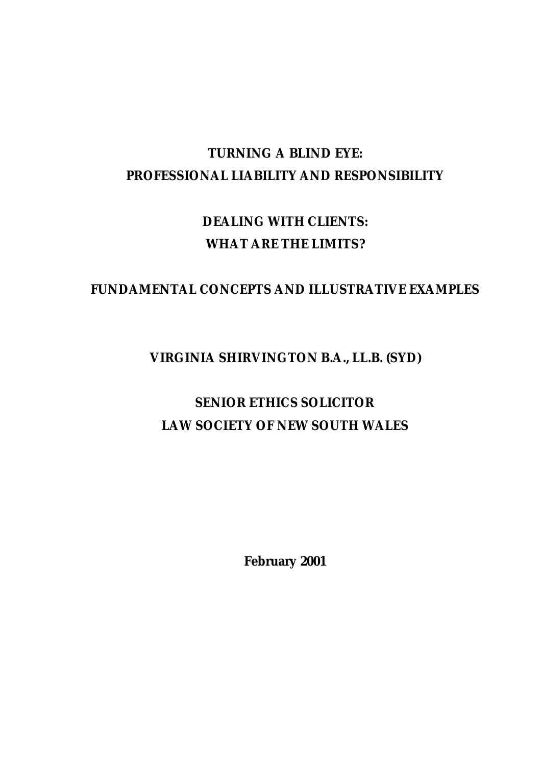# **TURNING A BLIND EYE: PROFESSIONAL LIABILITY AND RESPONSIBILITY**

# **DEALING WITH CLIENTS: WHAT ARE THE LIMITS?**

# **FUNDAMENTAL CONCEPTS AND ILLUSTRATIVE EXAMPLES**

# **VIRGINIA SHIRVINGTON B.A., LL.B. (SYD)**

# **SENIOR ETHICS SOLICITOR LAW SOCIETY OF NEW SOUTH WALES**

**February 2001**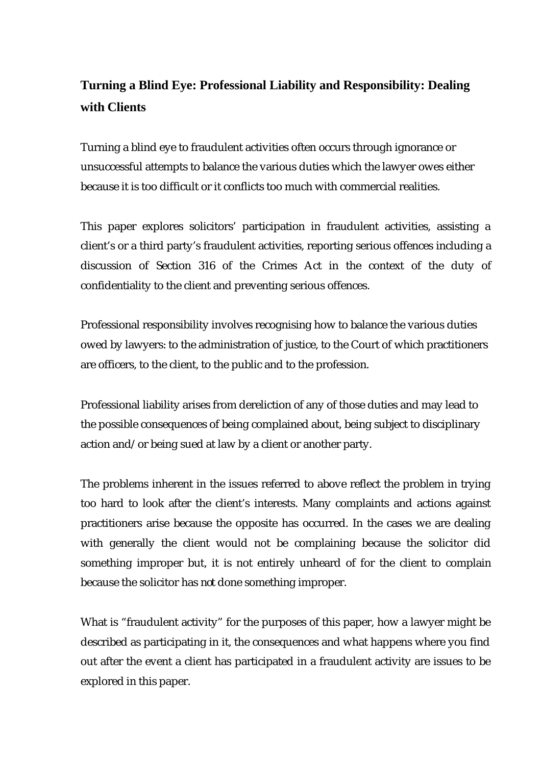# **Turning a Blind Eye: Professional Liability and Responsibility: Dealing with Clients**

Turning a blind eye to fraudulent activities often occurs through ignorance or unsuccessful attempts to balance the various duties which the lawyer owes either because it is too difficult or it conflicts too much with commercial realities.

This paper explores solicitors' participation in fraudulent activities, assisting a client's or a third party's fraudulent activities, reporting serious offences including a discussion of Section 316 of the Crimes Act in the context of the duty of confidentiality to the client and preventing serious offences.

Professional responsibility involves recognising how to balance the various duties owed by lawyers: to the administration of justice, to the Court of which practitioners are officers, to the client, to the public and to the profession.

Professional liability arises from dereliction of any of those duties and may lead to the possible consequences of being complained about, being subject to disciplinary action and/or being sued at law by a client or another party.

The problems inherent in the issues referred to above reflect the problem in trying too hard to look after the client's interests. Many complaints and actions against practitioners arise because the opposite has occurred. In the cases we are dealing with generally the client would not be complaining because the solicitor did something improper but, it is not entirely unheard of for the client to complain because the solicitor has *not* done something improper.

What is "fraudulent activity" for the purposes of this paper, how a lawyer might be described as participating in it, the consequences and what happens where you find out after the event a client has participated in a fraudulent activity are issues to be explored in this paper.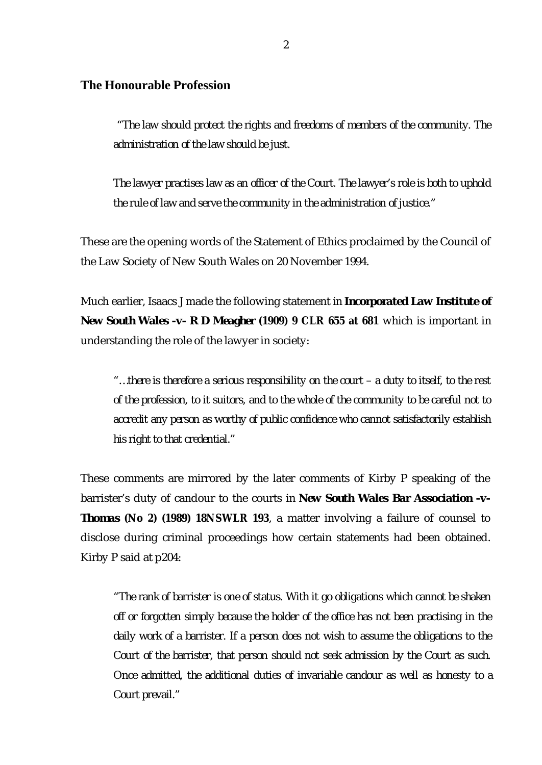### **The Honourable Profession**

 *"The law should protect the rights and freedoms of members of the community. The administration of the law should be just.*

*The lawyer practises law as an officer of the Court. The lawyer's role is both to uphold the rule of law and serve the community in the administration of justice."*

These are the opening words of the Statement of Ethics proclaimed by the Council of the Law Society of New South Wales on 20 November 1994.

Much earlier, Isaacs J made the following statement *in Incorporated Law Institute of New South Wales -v- R D Meagher* **(1909) 9 CLR 655 at 681** which is important in understanding the role of the lawyer in society:

*"… there is therefore a serious responsibility on the court – a duty to itself, to the rest of the profession, to it suitors, and to the whole of the community to be careful not to accredit any person as worthy of public confidence who cannot satisfactorily establish his right to that credential."*

These comments are mirrored by the later comments of Kirby P speaking of the barrister's duty of candour to the courts in *New South Wales Bar Association -v-Thomas* **(No 2) (1989) 18NSWLR 193**, a matter involving a failure of counsel to disclose during criminal proceedings how certain statements had been obtained. Kirby P said at p204:

*"The rank of barrister is one of status. With it go obligations which cannot be shaken off or forgotten simply because the holder of the office has not been practising in the daily work of a barrister. If a person does not wish to assume the obligations to the Court of the barrister, that person should not seek admission by the Court as such. Once admitted, the additional duties of invariable candour as well as honesty to a Court prevail."*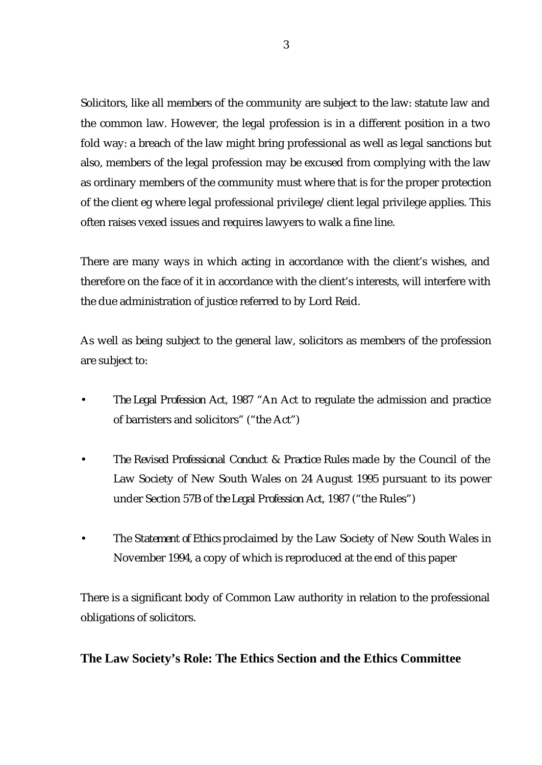Solicitors, like all members of the community are subject to the law: statute law and the common law. However, the legal profession is in a different position in a two fold way: a breach of the law might bring professional as well as legal sanctions but also, members of the legal profession may be excused from complying with the law as ordinary members of the community must where that is for the proper protection of the client eg where legal professional privilege/client legal privilege applies. This often raises vexed issues and requires lawyers to walk a fine line.

There are many ways in which acting in accordance with the client's wishes, and therefore on the face of it in accordance with the client's interests, will interfere with the due administration of justice referred to by Lord Reid.

As well as being subject to the general law, solicitors as members of the profession are subject to:

- *The Legal Profession Act, 1987* "An Act to regulate the admission and practice of barristers and solicitors" ("the Act")
- *The Revised Professional Conduct & Practice Rules* made by the Council of the Law Society of New South Wales on 24 August 1995 pursuant to its power under Section 57B of *the Legal Profession Act, 1987* ("the Rules")
- The *Statement of Ethics* proclaimed by the Law Society of New South Wales in November 1994, a copy of which is reproduced at the end of this paper

There is a significant body of Common Law authority in relation to the professional obligations of solicitors.

**The Law Society's Role: The Ethics Section and the Ethics Committee**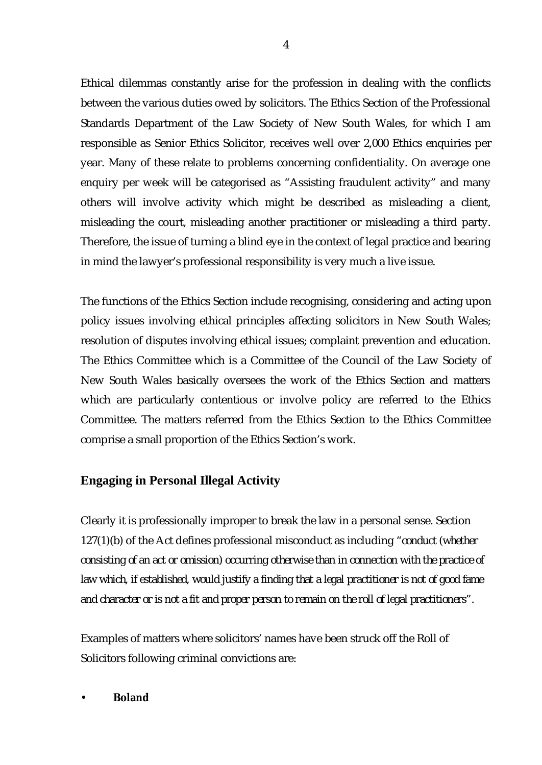Ethical dilemmas constantly arise for the profession in dealing with the conflicts between the various duties owed by solicitors. The Ethics Section of the Professional Standards Department of the Law Society of New South Wales, for which I am responsible as Senior Ethics Solicitor, receives well over 2,000 Ethics enquiries per year. Many of these relate to problems concerning confidentiality. On average one enquiry per week will be categorised as "Assisting fraudulent activity" and many others will involve activity which might be described as misleading a client, misleading the court, misleading another practitioner or misleading a third party. Therefore, the issue of turning a blind eye in the context of legal practice and bearing in mind the lawyer's professional responsibility is very much a live issue.

The functions of the Ethics Section include recognising, considering and acting upon policy issues involving ethical principles affecting solicitors in New South Wales; resolution of disputes involving ethical issues; complaint prevention and education. The Ethics Committee which is a Committee of the Council of the Law Society of New South Wales basically oversees the work of the Ethics Section and matters which are particularly contentious or involve policy are referred to the Ethics Committee. The matters referred from the Ethics Section to the Ethics Committee comprise a small proportion of the Ethics Section's work.

# **Engaging in Personal Illegal Activity**

Clearly it is professionally improper to break the law in a personal sense. Section 127(1)(b) of the Act defines professional misconduct as including *"conduct (whether consisting of an act or omission) occurring otherwise than in connection with the practice of law which, if established, would justify a finding that a legal practitioner is not of good fame and character or is not a fit and proper person to remain on the roll of legal practitioners".*

Examples of matters where solicitors' names have been struck off the Roll of Solicitors following criminal convictions are:

• **Boland**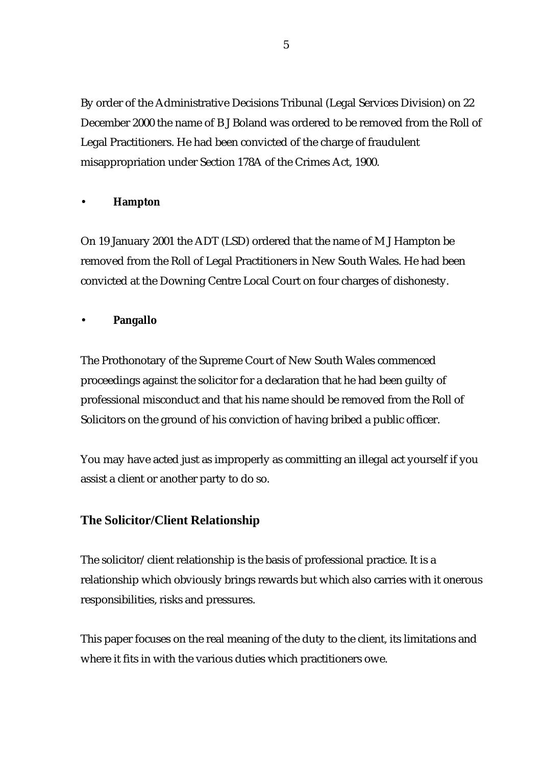By order of the Administrative Decisions Tribunal (Legal Services Division) on 22 December 2000 the name of B J Boland was ordered to be removed from the Roll of Legal Practitioners. He had been convicted of the charge of fraudulent misappropriation under Section 178A of the Crimes Act, 1900.

#### • **Hampton**

On 19 January 2001 the ADT (LSD) ordered that the name of M J Hampton be removed from the Roll of Legal Practitioners in New South Wales. He had been convicted at the Downing Centre Local Court on four charges of dishonesty.

#### • **Pangallo**

The Prothonotary of the Supreme Court of New South Wales commenced proceedings against the solicitor for a declaration that he had been guilty of professional misconduct and that his name should be removed from the Roll of Solicitors on the ground of his conviction of having bribed a public officer.

You may have acted just as improperly as committing an illegal act yourself if you assist a client or another party to do so.

# **The Solicitor/Client Relationship**

The solicitor/client relationship is the basis of professional practice. It is a relationship which obviously brings rewards but which also carries with it onerous responsibilities, risks and pressures.

This paper focuses on the real meaning of the duty to the client, its limitations and where it fits in with the various duties which practitioners owe.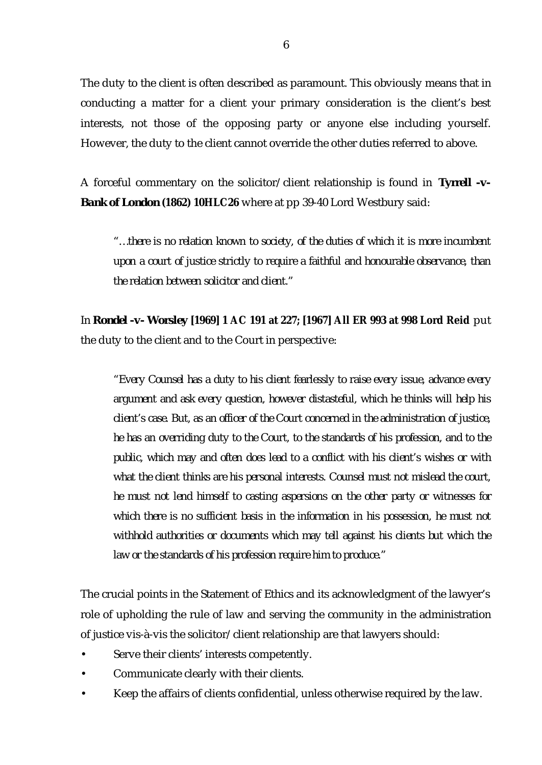The duty to the client is often described as paramount. This obviously means that in conducting a matter for a client your primary consideration is the client's best interests, not those of the opposing party or anyone else including yourself. However, the duty to the client cannot override the other duties referred to above.

A forceful commentary on the solicitor/client relationship is found in *Tyrrell -v-Bank of London* **(1862) 10HLC26** where at pp 39-40 Lord Westbury said:

*"… there is no relation known to society, of the duties of which it is more incumbent upon a court of justice strictly to require a faithful and honourable observance, than the relation between solicitor and client."*

In *Rondel -v- Worsley* **[1969] 1 AC 191 at 227; [1967] All ER 993 at 998 Lord Reid** put the duty to the client and to the Court in perspective:

*"Every Counsel has a duty to his client fearlessly to raise every issue, advance every argument and ask every question, however distasteful, which he thinks will help his client's case. But, as an officer of the Court concerned in the administration of justice, he has an overriding duty to the Court, to the standards of his profession, and to the public, which may and often does lead to a conflict with his client's wishes or with what the client thinks are his personal interests. Counsel must not mislead the court, he must not lend himself to casting aspersions on the other party or witnesses for which there is no sufficient basis in the information in his possession, he must not withhold authorities or documents which may tell against his clients but which the law or the standards of his profession require him to produce."*

The crucial points in the Statement of Ethics and its acknowledgment of the lawyer's role of upholding the rule of law and serving the community in the administration of justice vis-à-vis the solicitor/client relationship are that lawyers should:

- Serve their clients' interests competently.
- Communicate clearly with their clients.
- Keep the affairs of clients confidential, unless otherwise required by the law.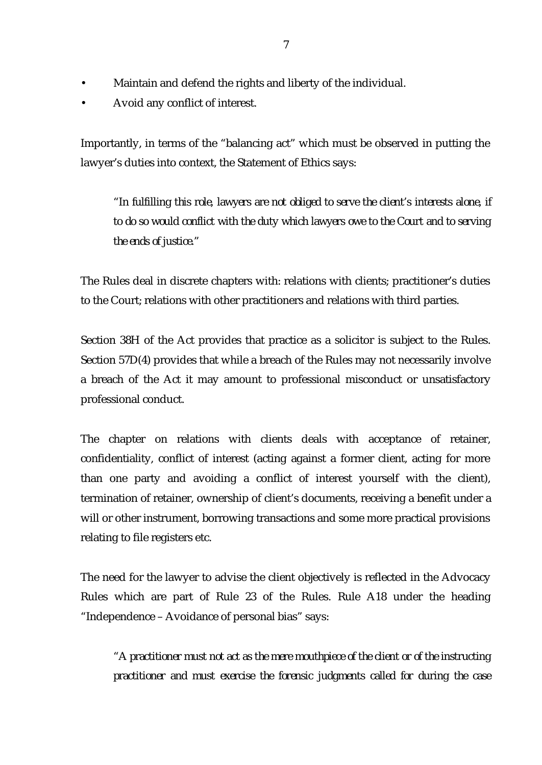- Maintain and defend the rights and liberty of the individual.
- Avoid any conflict of interest.

Importantly, in terms of the "balancing act" which must be observed in putting the lawyer's duties into context, the Statement of Ethics says:

*"In fulfilling this role, lawyers are not obliged to serve the client's interests alone, if to do so would conflict with the duty which lawyers owe to the Court and to serving the ends of justice."*

The Rules deal in discrete chapters with: relations with clients; practitioner's duties to the Court; relations with other practitioners and relations with third parties.

Section 38H of the Act provides that practice as a solicitor is subject to the Rules. Section 57D(4) provides that while a breach of the Rules may not necessarily involve a breach of the Act it may amount to professional misconduct or unsatisfactory professional conduct.

The chapter on relations with clients deals with acceptance of retainer, confidentiality, conflict of interest (acting against a former client, acting for more than one party and avoiding a conflict of interest yourself with the client), termination of retainer, ownership of client's documents, receiving a benefit under a will or other instrument, borrowing transactions and some more practical provisions relating to file registers etc.

The need for the lawyer to advise the client objectively is reflected in the Advocacy Rules which are part of Rule 23 of the Rules. Rule A18 under the heading "Independence – Avoidance of personal bias" says:

*"A practitioner must not act as the mere mouthpiece of the client or of the instructing practitioner and must exercise the forensic judgments called for during the case*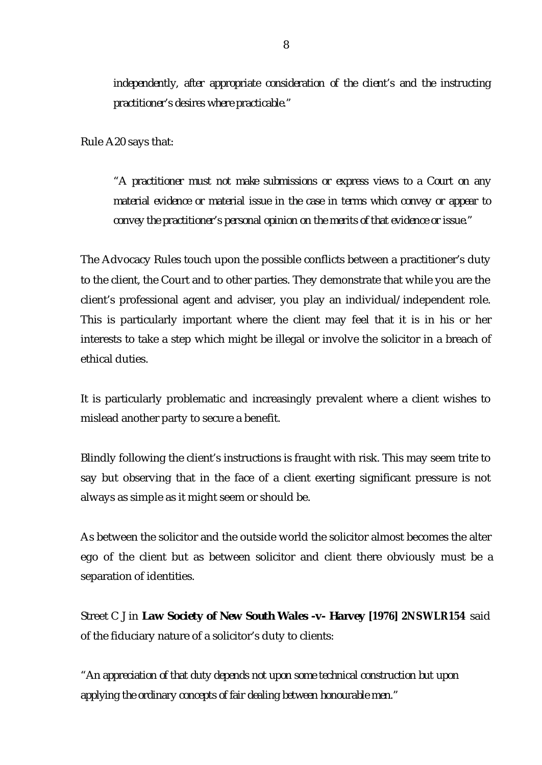*independently, after appropriate consideration of the client's and the instructing practitioner's desires where practicable."*

Rule A20 says that:

*"A practitioner must not make submissions or express views to a Court on any material evidence or material issue in the case in terms which convey or appear to convey the practitioner's personal opinion on the merits of that evidence or issue."*

The Advocacy Rules touch upon the possible conflicts between a practitioner's duty to the client, the Court and to other parties. They demonstrate that while you are the client's professional agent and adviser, you play an individual/independent role. This is particularly important where the client may feel that it is in his or her interests to take a step which might be illegal or involve the solicitor in a breach of ethical duties.

It is particularly problematic and increasingly prevalent where a client wishes to mislead another party to secure a benefit.

Blindly following the client's instructions is fraught with risk. This may seem trite to say but observing that in the face of a client exerting significant pressure is not always as simple as it might seem or should be.

As between the solicitor and the outside world the solicitor almost becomes the alter ego of the client but as between solicitor and client there obviously must be a separation of identities.

Street C J in *Law Society of New South Wales -v- Harvey* **[1976] 2NSWLR154** said of the fiduciary nature of a solicitor's duty to clients:

*"An appreciation of that duty depends not upon some technical construction but upon applying the ordinary concepts of fair dealing between honourable men."*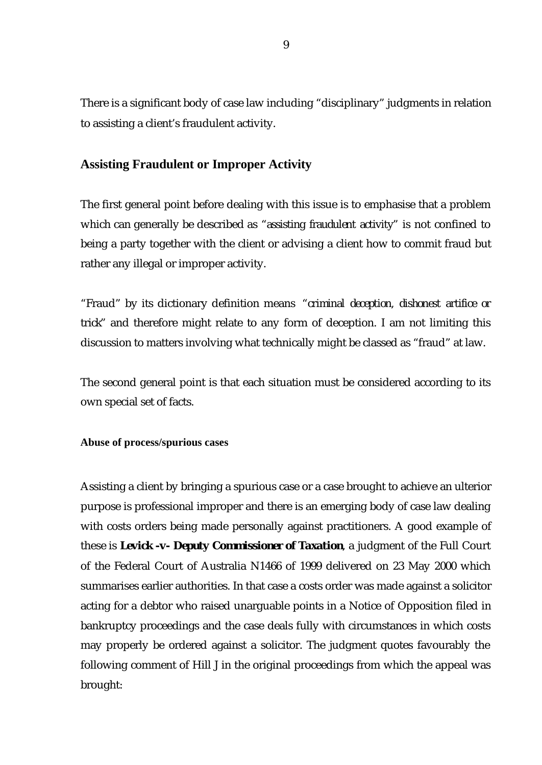There is a significant body of case law including "disciplinary" judgments in relation to assisting a client's fraudulent activity.

### **Assisting Fraudulent or Improper Activity**

The first general point before dealing with this issue is to emphasise that a problem which can generally be described as *"assisting fraudulent activity"* is not confined to being a party together with the client or advising a client how to commit fraud but rather any illegal or improper activity.

"Fraud" by its dictionary definition means *"criminal deception, dishonest artifice or trick"* and therefore might relate to any form of deception. I am not limiting this discussion to matters involving what technically might be classed as "fraud" at law.

The second general point is that each situation must be considered according to its own special set of facts.

**Abuse of process/spurious cases**

Assisting a client by bringing a spurious case or a case brought to achieve an ulterior purpose is professional improper and there is an emerging body of case law dealing with costs orders being made personally against practitioners. A good example of these is *Levick -v- Deputy Commissioner of Taxation*, a judgment of the Full Court of the Federal Court of Australia N1466 of 1999 delivered on 23 May 2000 which summarises earlier authorities. In that case a costs order was made against a solicitor acting for a debtor who raised unarguable points in a Notice of Opposition filed in bankruptcy proceedings and the case deals fully with circumstances in which costs may properly be ordered against a solicitor. The judgment quotes favourably the following comment of Hill J in the original proceedings from which the appeal was brought: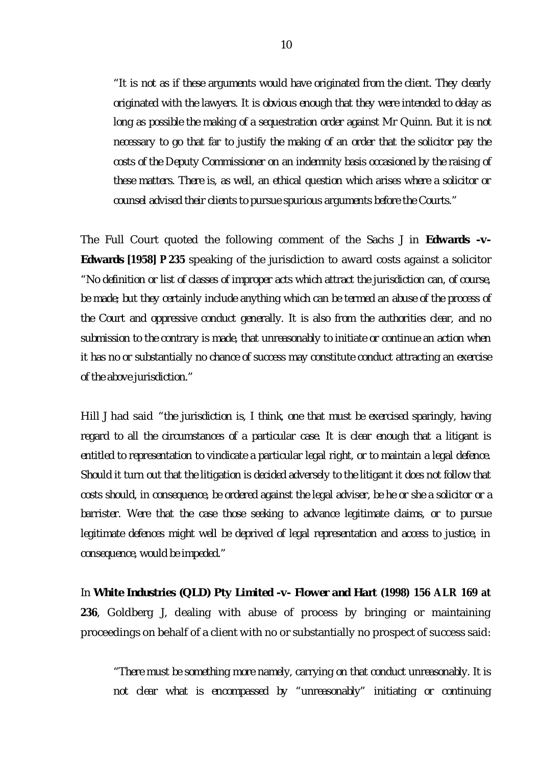*"It is not as if these arguments would have originated from the client. They clearly originated with the lawyers. It is obvious enough that they were intended to delay as long as possible the making of a sequestration order against Mr Quinn. But it is not necessary to go that far to justify the making of an order that the solicitor pay the costs of the Deputy Commissioner on an indemnity basis occasioned by the raising of these matters. There is, as well, an ethical question which arises where a solicitor or counsel advised their clients to pursue spurious arguments before the Courts."*

The Full Court quoted the following comment of the Sachs J in *Edwards -v-Edwards* **[1958] P 235** speaking of the jurisdiction to award costs against a solicitor *"No definition or list of classes of improper acts which attract the jurisdiction can, of course, be made; but they certainly include anything which can be termed an abuse of the process of the Court and oppressive conduct generally. It is also from the authorities clear, and no submission to the contrary is made, that unreasonably to initiate or continue an action when it has no or substantially no chance of success may constitute conduct attracting an exercise of the above jurisdiction."*

Hill J had said *"the jurisdiction is, I think, one that must be exercised sparingly, having regard to all the circumstances of a particular case. It is clear enough that a litigant is entitled to representation to vindicate a particular legal right, or to maintain a legal defence. Should it turn out that the litigation is decided adversely to the litigant it does not follow that costs should, in consequence, be ordered against the legal adviser, be he or she a solicitor or a barrister. Were that the case those seeking to advance legitimate claims, or to pursue legitimate defences might well be deprived of legal representation and access to justice, in consequence, would be impeded."*

In *White Industries (QLD) Pty Limited -v- Flower and Hart* **(1998) 156 ALR 169 at 236**, Goldberg J, dealing with abuse of process by bringing or maintaining proceedings on behalf of a client with no or substantially no prospect of success said:

*"There must be something more namely, carrying on that conduct unreasonably. It is not clear what is encompassed by "unreasonably" initiating or continuing*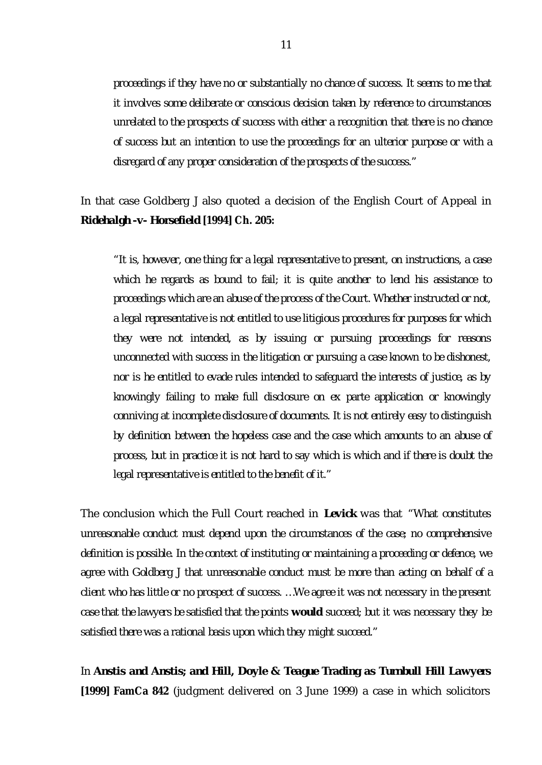*proceedings if they have no or substantially no chance of success. It seems to me that it involves some deliberate or conscious decision taken by reference to circumstances unrelated to the prospects of success with either a recognition that there is no chance of success but an intention to use the proceedings for an ulterior purpose or with a disregard of any proper consideration of the prospects of the success."*

# In that case Goldberg J also quoted a decision of the English Court of Appeal in *Ridehalgh -v- Horsefield* **[1994] Ch. 205:**

*"It is, however, one thing for a legal representative to present, on instructions, a case which he regards as bound to fail; it is quite another to lend his assistance to proceedings which are an abuse of the process of the Court. Whether instructed or not, a legal representative is not entitled to use litigious procedures for purposes for which they were not intended, as by issuing or pursuing proceedings for reasons unconnected with success in the litigation or pursuing a case known to be dishonest, nor is he entitled to evade rules intended to safeguard the interests of justice, as by knowingly failing to make full disclosure on ex parte application or knowingly conniving at incomplete disclosure of documents. It is not entirely easy to distinguish by definition between the hopeless case and the case which amounts to an abuse of process, but in practice it is not hard to say which is which and if there is doubt the legal representative is entitled to the benefit of it."*

The conclusion which the Full Court reached in *Levick* was that *"What constitutes unreasonable conduct must depend upon the circumstances of the case; no comprehensive definition is possible. In the context of instituting or maintaining a proceeding or defence, we agree with Goldberg J that unreasonable conduct must be more than acting on behalf of a client who has little or no prospect of success. … We agree it was not necessary in the present case that the lawyers be satisfied that the points would succeed; but it was necessary they be satisfied there was a rational basis upon which they might succeed."*

In *Anstis and Anstis; and Hill, Doyle & Teague Trading as Turnbull Hill Lawyers* **[1999] FamCa 842** (judgment delivered on 3 June 1999) a case in which solicitors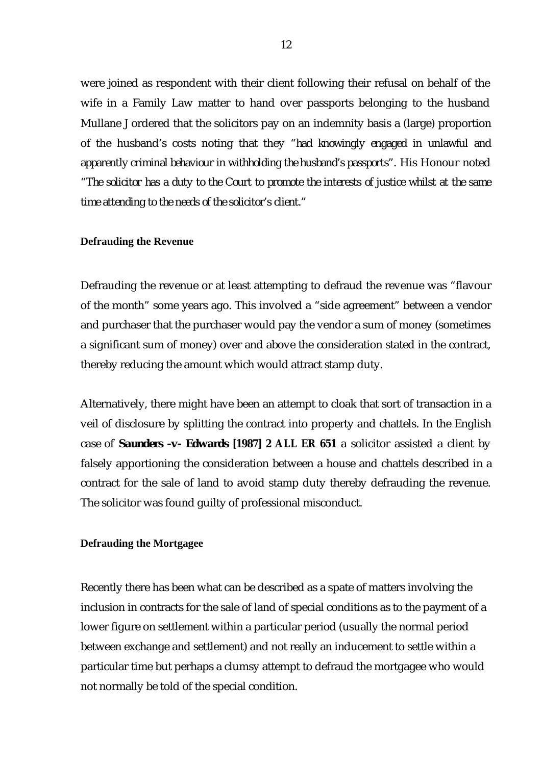were joined as respondent with their client following their refusal on behalf of the wife in a Family Law matter to hand over passports belonging to the husband Mullane J ordered that the solicitors pay on an indemnity basis a (large) proportion of the husband's costs noting that they *"had knowingly engaged in unlawful and apparently criminal behaviour in withholding the husband's passports".* His Honour noted *"The solicitor has a duty to the Court to promote the interests of justice whilst at the same time attending to the needs of the solicitor's client."*

#### **Defrauding the Revenue**

Defrauding the revenue or at least attempting to defraud the revenue was "flavour of the month" some years ago. This involved a "side agreement" between a vendor and purchaser that the purchaser would pay the vendor a sum of money (sometimes a significant sum of money) over and above the consideration stated in the contract, thereby reducing the amount which would attract stamp duty.

Alternatively, there might have been an attempt to cloak that sort of transaction in a veil of disclosure by splitting the contract into property and chattels. In the English case of *Saunders -v- Edwards* **[1987] 2 ALL ER 651** a solicitor assisted a client by falsely apportioning the consideration between a house and chattels described in a contract for the sale of land to avoid stamp duty thereby defrauding the revenue. The solicitor was found guilty of professional misconduct.

#### **Defrauding the Mortgagee**

Recently there has been what can be described as a spate of matters involving the inclusion in contracts for the sale of land of special conditions as to the payment of a lower figure on settlement within a particular period (usually the normal period between exchange and settlement) and not really an inducement to settle within a particular time but perhaps a clumsy attempt to defraud the mortgagee who would not normally be told of the special condition.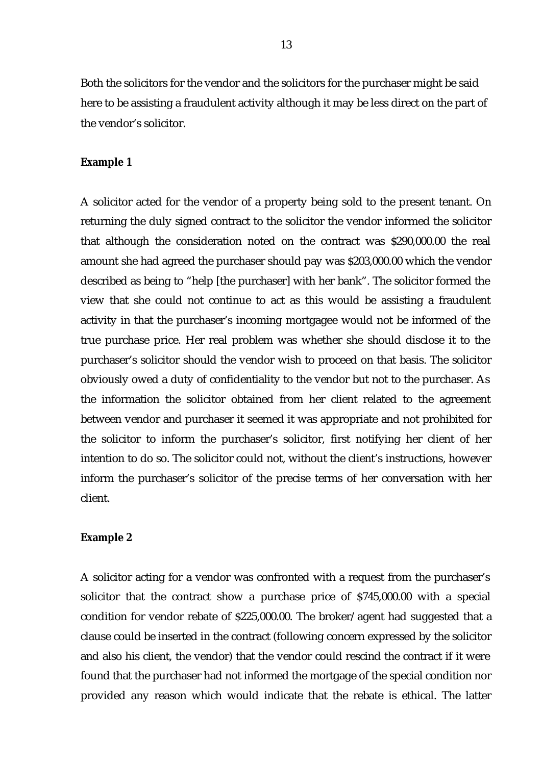Both the solicitors for the vendor and the solicitors for the purchaser might be said here to be assisting a fraudulent activity although it may be less direct on the part of the vendor's solicitor.

#### **Example 1**

A solicitor acted for the vendor of a property being sold to the present tenant. On returning the duly signed contract to the solicitor the vendor informed the solicitor that although the consideration noted on the contract was \$290,000.00 the real amount she had agreed the purchaser should pay was \$203,000.00 which the vendor described as being to "help [the purchaser] with her bank". The solicitor formed the view that she could not continue to act as this would be assisting a fraudulent activity in that the purchaser's incoming mortgagee would not be informed of the true purchase price. Her real problem was whether she should disclose it to the purchaser's solicitor should the vendor wish to proceed on that basis. The solicitor obviously owed a duty of confidentiality to the vendor but not to the purchaser. As the information the solicitor obtained from her client related to the agreement between vendor and purchaser it seemed it was appropriate and not prohibited for the solicitor to inform the purchaser's solicitor, first notifying her client of her intention to do so. The solicitor could not, without the client's instructions, however inform the purchaser's solicitor of the precise terms of her conversation with her client.

#### **Example 2**

A solicitor acting for a vendor was confronted with a request from the purchaser's solicitor that the contract show a purchase price of \$745,000.00 with a special condition for vendor rebate of \$225,000.00. The broker/agent had suggested that a clause could be inserted in the contract (following concern expressed by the solicitor and also his client, the vendor) that the vendor could rescind the contract if it were found that the purchaser had not informed the mortgage of the special condition nor provided any reason which would indicate that the rebate is ethical. The latter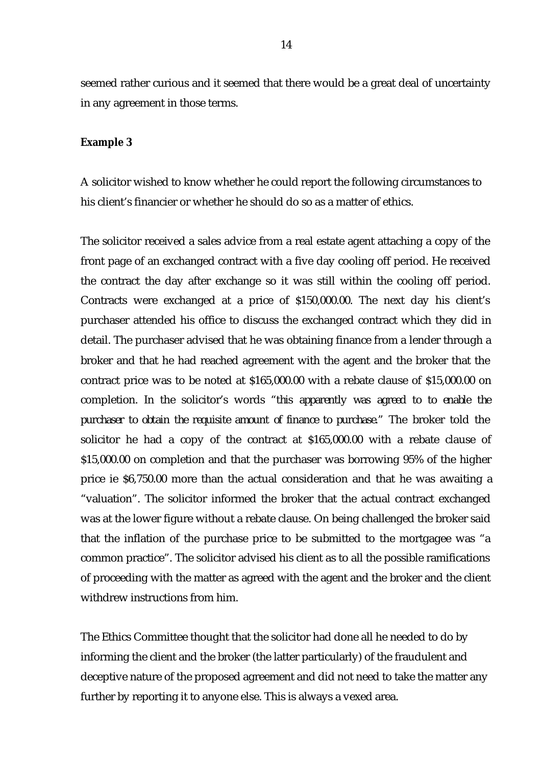seemed rather curious and it seemed that there would be a great deal of uncertainty in any agreement in those terms.

#### **Example 3**

A solicitor wished to know whether he could report the following circumstances to his client's financier or whether he should do so as a matter of ethics.

The solicitor received a sales advice from a real estate agent attaching a copy of the front page of an exchanged contract with a five day cooling off period. He received the contract the day after exchange so it was still within the cooling off period. Contracts were exchanged at a price of \$150,000.00. The next day his client's purchaser attended his office to discuss the exchanged contract which they did in detail. The purchaser advised that he was obtaining finance from a lender through a broker and that he had reached agreement with the agent and the broker that the contract price was to be noted at \$165,000.00 with a rebate clause of \$15,000.00 on completion. In the solicitor's words *"this apparently was agreed to to enable the purchaser to obtain the requisite amount of finance to purchase."* The broker told the solicitor he had a copy of the contract at \$165,000.00 with a rebate clause of \$15,000.00 on completion and that the purchaser was borrowing 95% of the higher price ie \$6,750.00 more than the actual consideration and that he was awaiting a "valuation". The solicitor informed the broker that the actual contract exchanged was at the lower figure without a rebate clause. On being challenged the broker said that the inflation of the purchase price to be submitted to the mortgagee was "a common practice". The solicitor advised his client as to all the possible ramifications of proceeding with the matter as agreed with the agent and the broker and the client withdrew instructions from him.

The Ethics Committee thought that the solicitor had done all he needed to do by informing the client and the broker (the latter particularly) of the fraudulent and deceptive nature of the proposed agreement and did not need to take the matter any further by reporting it to anyone else. This is always a vexed area.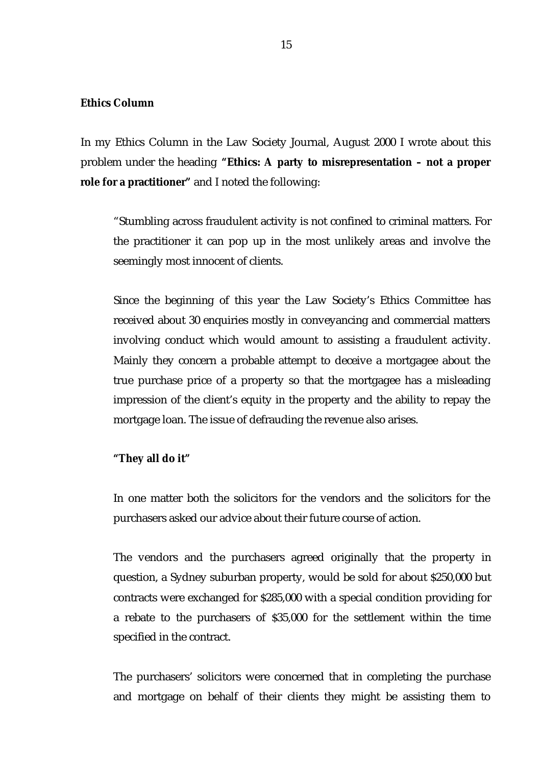#### **Ethics Column**

In my Ethics Column in the Law Society Journal, August 2000 I wrote about this problem under the heading **"Ethics: A party to misrepresentation – not a proper role for a practitioner"** and I noted the following:

"Stumbling across fraudulent activity is not confined to criminal matters. For the practitioner it can pop up in the most unlikely areas and involve the seemingly most innocent of clients.

Since the beginning of this year the Law Society's Ethics Committee has received about 30 enquiries mostly in conveyancing and commercial matters involving conduct which would amount to assisting a fraudulent activity. Mainly they concern a probable attempt to deceive a mortgagee about the true purchase price of a property so that the mortgagee has a misleading impression of the client's equity in the property and the ability to repay the mortgage loan. The issue of defrauding the revenue also arises.

#### **"They all do it"**

In one matter both the solicitors for the vendors and the solicitors for the purchasers asked our advice about their future course of action.

The vendors and the purchasers agreed originally that the property in question, a Sydney suburban property, would be sold for about \$250,000 but contracts were exchanged for \$285,000 with a special condition providing for a rebate to the purchasers of \$35,000 for the settlement within the time specified in the contract.

The purchasers' solicitors were concerned that in completing the purchase and mortgage on behalf of their clients they might be assisting them to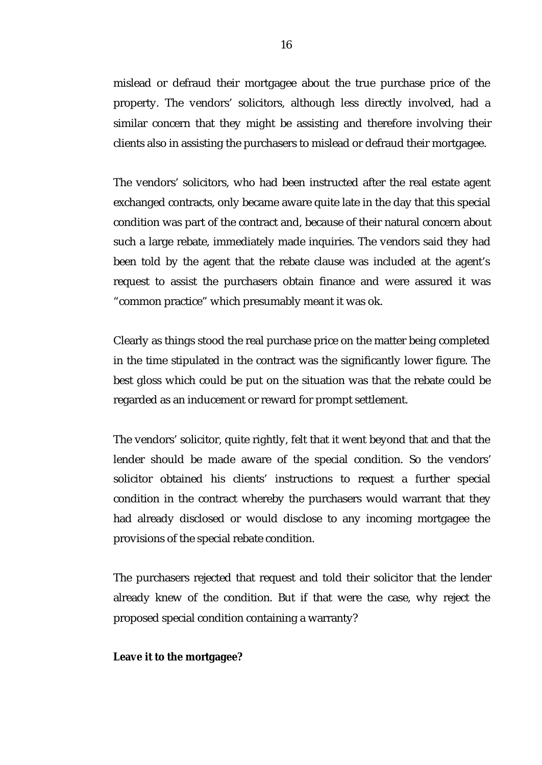mislead or defraud their mortgagee about the true purchase price of the property. The vendors' solicitors, although less directly involved, had a similar concern that they might be assisting and therefore involving their clients also in assisting the purchasers to mislead or defraud their mortgagee.

The vendors' solicitors, who had been instructed after the real estate agent exchanged contracts, only became aware quite late in the day that this special condition was part of the contract and, because of their natural concern about such a large rebate, immediately made inquiries. The vendors said they had been told by the agent that the rebate clause was included at the agent's request to assist the purchasers obtain finance and were assured it was "common practice" which presumably meant it was ok.

Clearly as things stood the real purchase price on the matter being completed in the time stipulated in the contract was the significantly lower figure. The best gloss which could be put on the situation was that the rebate could be regarded as an inducement or reward for prompt settlement.

The vendors' solicitor, quite rightly, felt that it went beyond that and that the lender should be made aware of the special condition. So the vendors' solicitor obtained his clients' instructions to request a further special condition in the contract whereby the purchasers would warrant that they had already disclosed or would disclose to any incoming mortgagee the provisions of the special rebate condition.

The purchasers rejected that request and told their solicitor that the lender already knew of the condition. But if that were the case, why reject the proposed special condition containing a warranty?

#### **Leave it to the mortgagee?**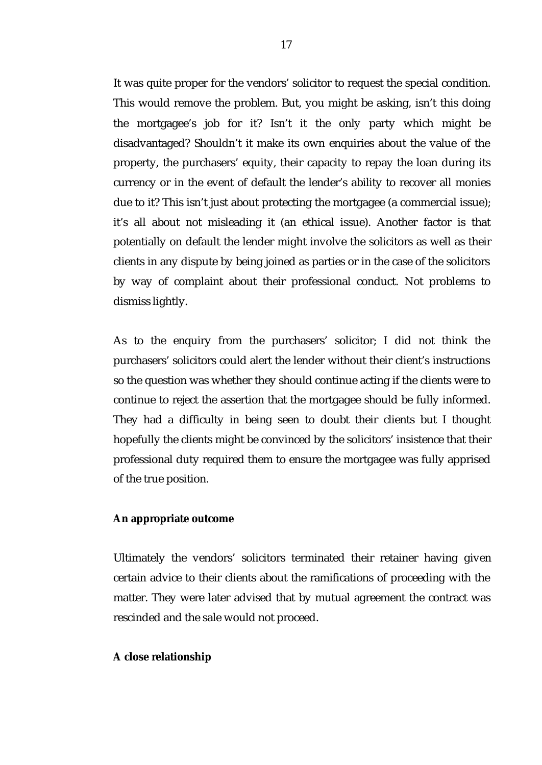It was quite proper for the vendors' solicitor to request the special condition. This would remove the problem. But, you might be asking, isn't this doing the mortgagee's job for it? Isn't it the only party which might be disadvantaged? Shouldn't it make its own enquiries about the value of the property, the purchasers' equity, their capacity to repay the loan during its currency or in the event of default the lender's ability to recover all monies due to it? This isn't just about protecting the mortgagee (a commercial issue); it's all about not misleading it (an ethical issue). Another factor is that potentially on default the lender might involve the solicitors as well as their clients in any dispute by being joined as parties or in the case of the solicitors by way of complaint about their professional conduct. Not problems to dismiss lightly.

As to the enquiry from the purchasers' solicitor; I did not think the purchasers' solicitors could alert the lender without their client's instructions so the question was whether they should continue acting if the clients were to continue to reject the assertion that the mortgagee should be fully informed. They had a difficulty in being seen to doubt their clients but I thought hopefully the clients might be convinced by the solicitors' insistence that their professional duty required them to ensure the mortgagee was fully apprised of the true position.

#### **An appropriate outcome**

Ultimately the vendors' solicitors terminated their retainer having given certain advice to their clients about the ramifications of proceeding with the matter. They were later advised that by mutual agreement the contract was rescinded and the sale would not proceed.

#### **A close relationship**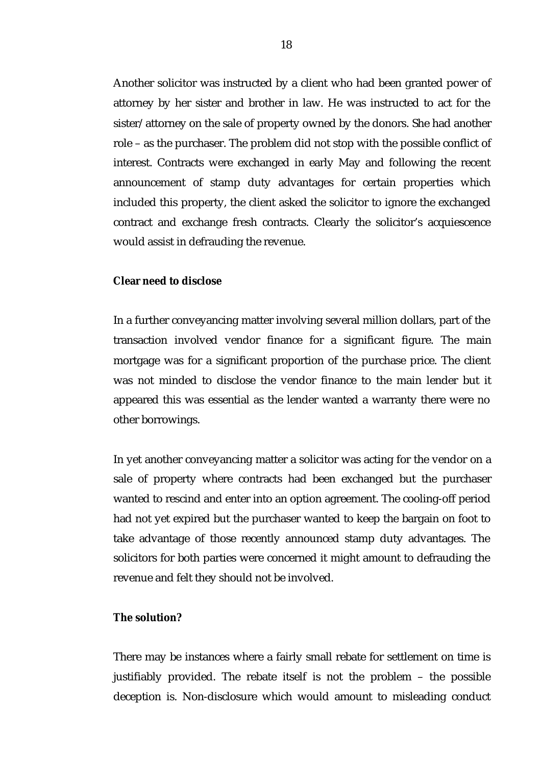Another solicitor was instructed by a client who had been granted power of attorney by her sister and brother in law. He was instructed to act for the sister/attorney on the sale of property owned by the donors. She had another role – as the purchaser. The problem did not stop with the possible conflict of interest. Contracts were exchanged in early May and following the recent announcement of stamp duty advantages for certain properties which included this property, the client asked the solicitor to ignore the exchanged contract and exchange fresh contracts. Clearly the solicitor's acquiescence would assist in defrauding the revenue.

#### **Clear need to disclose**

In a further conveyancing matter involving several million dollars, part of the transaction involved vendor finance for a significant figure. The main mortgage was for a significant proportion of the purchase price. The client was not minded to disclose the vendor finance to the main lender but it appeared this was essential as the lender wanted a warranty there were no other borrowings.

In yet another conveyancing matter a solicitor was acting for the vendor on a sale of property where contracts had been exchanged but the purchaser wanted to rescind and enter into an option agreement. The cooling-off period had not yet expired but the purchaser wanted to keep the bargain on foot to take advantage of those recently announced stamp duty advantages. The solicitors for both parties were concerned it might amount to defrauding the revenue and felt they should not be involved.

#### **The solution?**

There may be instances where a fairly small rebate for settlement on time is justifiably provided. The rebate itself is not the problem – the possible deception is. Non-disclosure which would amount to misleading conduct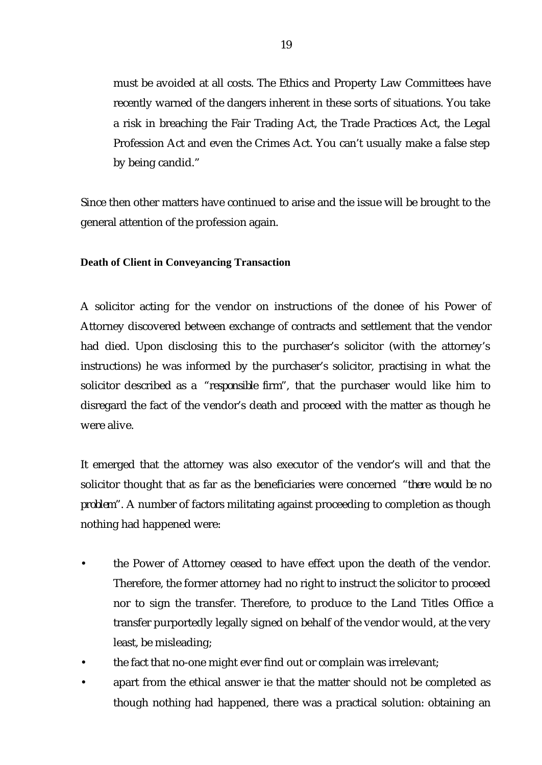must be avoided at all costs. The Ethics and Property Law Committees have recently warned of the dangers inherent in these sorts of situations. You take a risk in breaching the Fair Trading Act, the Trade Practices Act, the Legal Profession Act and even the Crimes Act. You can't usually make a false step by being candid."

Since then other matters have continued to arise and the issue will be brought to the general attention of the profession again.

**Death of Client in Conveyancing Transaction**

A solicitor acting for the vendor on instructions of the donee of his Power of Attorney discovered between exchange of contracts and settlement that the vendor had died. Upon disclosing this to the purchaser's solicitor (with the attorney's instructions) he was informed by the purchaser's solicitor, practising in what the solicitor described as a *"responsible firm"*, that the purchaser would like him to disregard the fact of the vendor's death and proceed with the matter as though he were alive.

It emerged that the attorney was also executor of the vendor's will and that the solicitor thought that as far as the beneficiaries were concerned *"there would be no problem"*. A number of factors militating against proceeding to completion as though nothing had happened were:

- the Power of Attorney ceased to have effect upon the death of the vendor. Therefore, the former attorney had no right to instruct the solicitor to proceed nor to sign the transfer. Therefore, to produce to the Land Titles Office a transfer purportedly legally signed on behalf of the vendor would, at the very least, be misleading;
- the fact that no-one might ever find out or complain was irrelevant;
- apart from the ethical answer ie that the matter should not be completed as though nothing had happened, there was a practical solution: obtaining an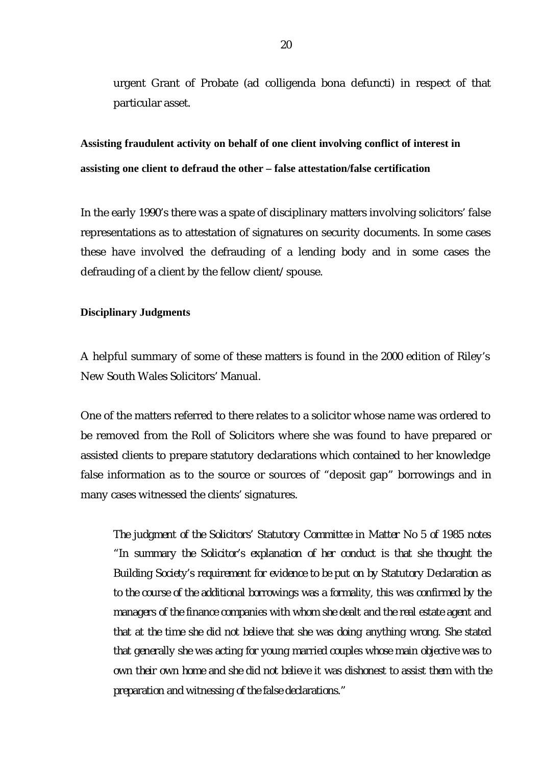urgent Grant of Probate (ad colligenda bona defuncti) in respect of that particular asset.

**Assisting fraudulent activity on behalf of one client involving conflict of interest in assisting one client to defraud the other – false attestation/false certification**

In the early 1990's there was a spate of disciplinary matters involving solicitors' false representations as to attestation of signatures on security documents. In some cases these have involved the defrauding of a lending body and in some cases the defrauding of a client by the fellow client/spouse.

#### **Disciplinary Judgments**

A helpful summary of some of these matters is found in the 2000 edition of Riley's New South Wales Solicitors' Manual.

One of the matters referred to there relates to a solicitor whose name was ordered to be removed from the Roll of Solicitors where she was found to have prepared or assisted clients to prepare statutory declarations which contained to her knowledge false information as to the source or sources of "deposit gap" borrowings and in many cases witnessed the clients' signatures.

*The judgment of the Solicitors' Statutory Committee in Matter No 5 of 1985 notes "In summary the Solicitor's explanation of her conduct is that she thought the Building Society's requirement for evidence to be put on by Statutory Declaration as to the course of the additional borrowings was a formality, this was confirmed by the managers of the finance companies with whom she dealt and the real estate agent and that at the time she did not believe that she was doing anything wrong. She stated that generally she was acting for young married couples whose main objective was to own their own home and she did not believe it was dishonest to assist them with the preparation and witnessing of the false declarations."*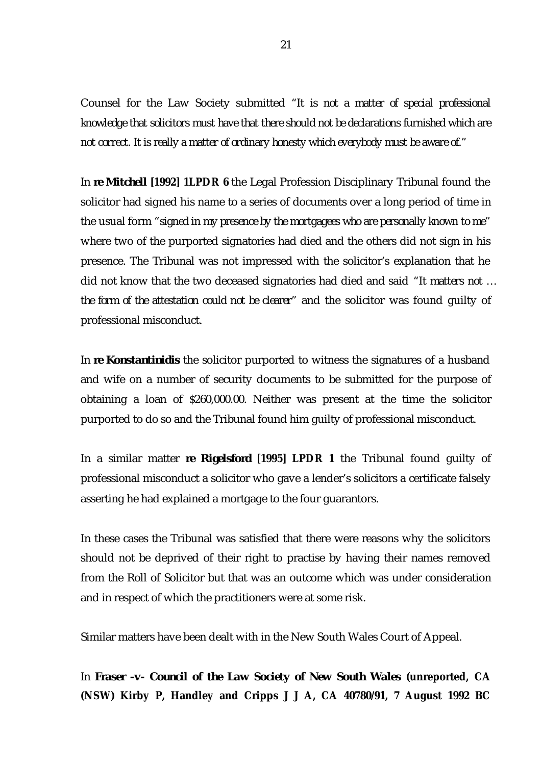Counsel for the Law Society submitted *"It is not a matter of special professional knowledge that solicitors must have that there should not be declarations furnished which are not correct. It is really a matter of ordinary honesty which everybody must be aware of."*

In *re Mitchell* **[1992] 1LPDR 6** the Legal Profession Disciplinary Tribunal found the solicitor had signed his name to a series of documents over a long period of time in the usual form *"signed in my presence by the mortgagees who are personally known to me"* where two of the purported signatories had died and the others did not sign in his presence. The Tribunal was not impressed with the solicitor's explanation that he did not know that the two deceased signatories had died and said *"It matters not … the form of the attestation could not be clearer"* and the solicitor was found guilty of professional misconduct.

In *re Konstantinidis* the solicitor purported to witness the signatures of a husband and wife on a number of security documents to be submitted for the purpose of obtaining a loan of \$260,000.00. Neither was present at the time the solicitor purported to do so and the Tribunal found him guilty of professional misconduct.

In a similar matter *re Rigelsford* [**1995] LPDR 1** the Tribunal found guilty of professional misconduct a solicitor who gave a lender's solicitors a certificate falsely asserting he had explained a mortgage to the four guarantors.

In these cases the Tribunal was satisfied that there were reasons why the solicitors should not be deprived of their right to practise by having their names removed from the Roll of Solicitor but that was an outcome which was under consideration and in respect of which the practitioners were at some risk.

Similar matters have been dealt with in the New South Wales Court of Appeal.

In *Fraser -v- Council of the Law Society of New South Wales* **(unreported, CA (NSW) Kirby P, Handley and Cripps J J A, CA 40780/91, 7 August 1992 BC**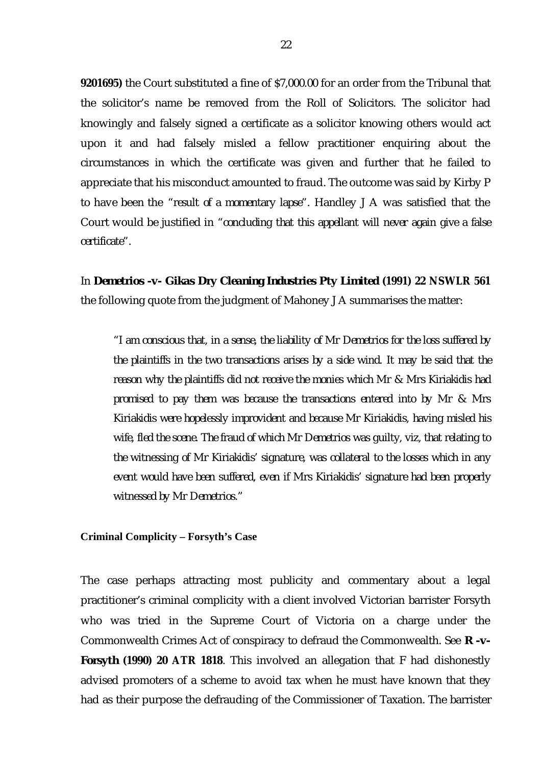**9201695)** the Court substituted a fine of \$7,000.00 for an order from the Tribunal that the solicitor's name be removed from the Roll of Solicitors. The solicitor had knowingly and falsely signed a certificate as a solicitor knowing others would act upon it and had falsely misled a fellow practitioner enquiring about the circumstances in which the certificate was given and further that he failed to appreciate that his misconduct amounted to fraud. The outcome was said by Kirby P to have been the *"result of a momentary lapse".* Handley J A was satisfied that the Court would be justified in *"concluding that this appellant will never again give a false certificate".*

In *Demetrios -v- Gikas Dry Cleaning Industries Pty Limited* **(1991) 22 NSWLR 561** the following quote from the judgment of Mahoney J A summarises the matter:

*"I am conscious that, in a sense, the liability of Mr Demetrios for the loss suffered by the plaintiffs in the two transactions arises by a side wind. It may be said that the reason why the plaintiffs did not receive the monies which Mr & Mrs Kiriakidis had promised to pay them was because the transactions entered into by Mr & Mrs Kiriakidis were hopelessly improvident and because Mr Kiriakidis, having misled his wife, fled the scene. The fraud of which Mr Demetrios was guilty, viz, that relating to the witnessing of Mr Kiriakidis' signature, was collateral to the losses which in any event would have been suffered, even if Mrs Kiriakidis' signature had been properly witnessed by Mr Demetrios."*

**Criminal Complicity – Forsyth's Case**

The case perhaps attracting most publicity and commentary about a legal practitioner's criminal complicity with a client involved Victorian barrister Forsyth who was tried in the Supreme Court of Victoria on a charge under the Commonwealth Crimes Act of conspiracy to defraud the Commonwealth. See *R -v-Forsyth* **(1990) 20 ATR 1818**. This involved an allegation that F had dishonestly advised promoters of a scheme to avoid tax when he must have known that they had as their purpose the defrauding of the Commissioner of Taxation. The barrister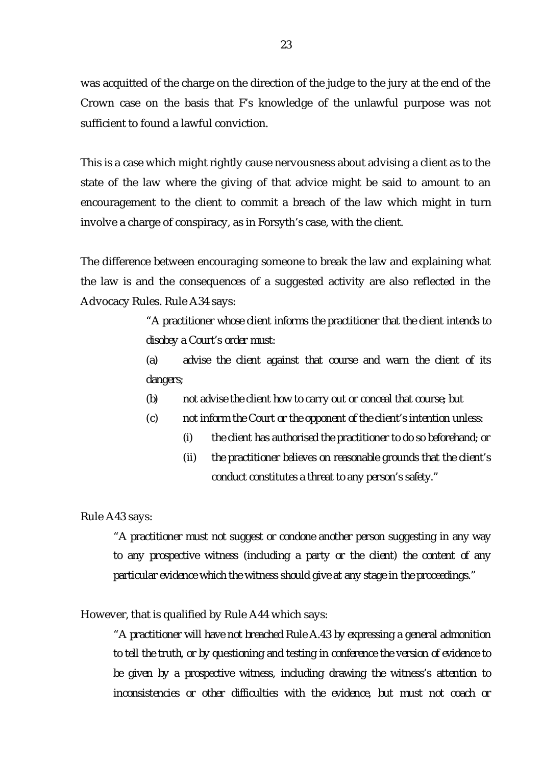was acquitted of the charge on the direction of the judge to the jury at the end of the Crown case on the basis that F's knowledge of the unlawful purpose was not sufficient to found a lawful conviction.

This is a case which might rightly cause nervousness about advising a client as to the state of the law where the giving of that advice might be said to amount to an encouragement to the client to commit a breach of the law which might in turn involve a charge of conspiracy, as in Forsyth's case, with the client.

The difference between encouraging someone to break the law and explaining what the law is and the consequences of a suggested activity are also reflected in the Advocacy Rules. Rule A34 says:

> *"A practitioner whose client informs the practitioner that the client intends to disobey a Court's order must:*

> *(a) advise the client against that course and warn the client of its dangers;*

- *(b) not advise the client how to carry out or conceal that course; but*
- *(c) not inform the Court or the opponent of the client's intention unless:*
	- *(i) the client has authorised the practitioner to do so beforehand; or*
	- *(ii) the practitioner believes on reasonable grounds that the client's conduct constitutes a threat to any person's safety."*

#### Rule A43 says:

*"A practitioner must not suggest or condone another person suggesting in any way to any prospective witness (including a party or the client) the content of any particular evidence which the witness should give at any stage in the proceedings."*

#### However, that is qualified by Rule A44 which says:

*"A practitioner will have not breached Rule A.43 by expressing a general admonition to tell the truth, or by questioning and testing in conference the version of evidence to be given by a prospective witness, including drawing the witness's attention to inconsistencies or other difficulties with the evidence, but must not coach or*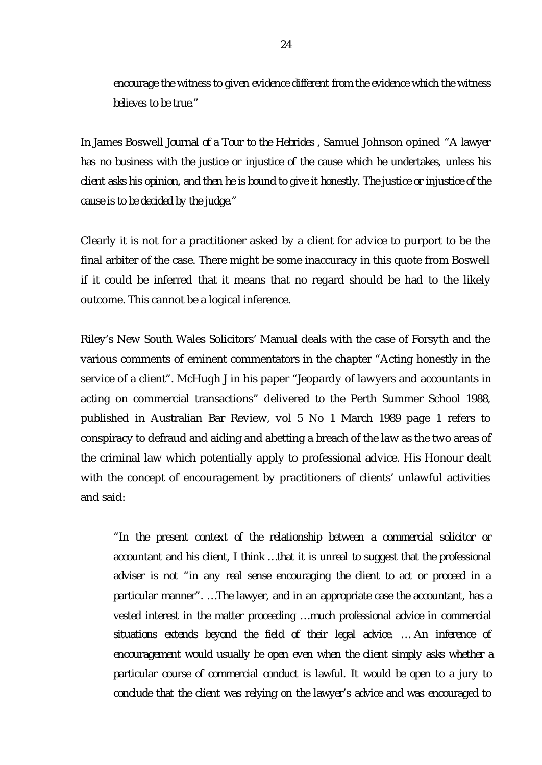*encourage the witness to given evidence different from the evidence which the witness believes to be true."*

In James Boswell *Journal of a Tour to the Hebrides* , Samuel Johnson opined *"A lawyer has no business with the justice or injustice of the cause which he undertakes, unless his client asks his opinion, and then he is bound to give it honestly. The justice or injustice of the cause is to be decided by the judge."*

Clearly it is not for a practitioner asked by a client for advice to purport to be the final arbiter of the case. There might be some inaccuracy in this quote from Boswell if it could be inferred that it means that no regard should be had to the likely outcome. This cannot be a logical inference.

Riley's New South Wales Solicitors' Manual deals with the case of Forsyth and the various comments of eminent commentators in the chapter "Acting honestly in the service of a client". McHugh J in his paper "Jeopardy of lawyers and accountants in acting on commercial transactions" delivered to the Perth Summer School 1988, published in Australian Bar Review, vol 5 No 1 March 1989 page 1 refers to conspiracy to defraud and aiding and abetting a breach of the law as the two areas of the criminal law which potentially apply to professional advice. His Honour dealt with the concept of encouragement by practitioners of clients' unlawful activities and said:

*"In the present context of the relationship between a commercial solicitor or accountant and his client, I think … that it is unreal to suggest that the professional adviser is not "in any real sense encouraging the client to act or proceed in a particular manner". … The lawyer, and in an appropriate case the accountant, has a vested interest in the matter proceeding … much professional advice in commercial situations extends beyond the field of their legal advice. … An inference of encouragement would usually be open even when the client simply asks whether a particular course of commercial conduct is lawful. It would be open to a jury to conclude that the client was relying on the lawyer's advice and was encouraged to*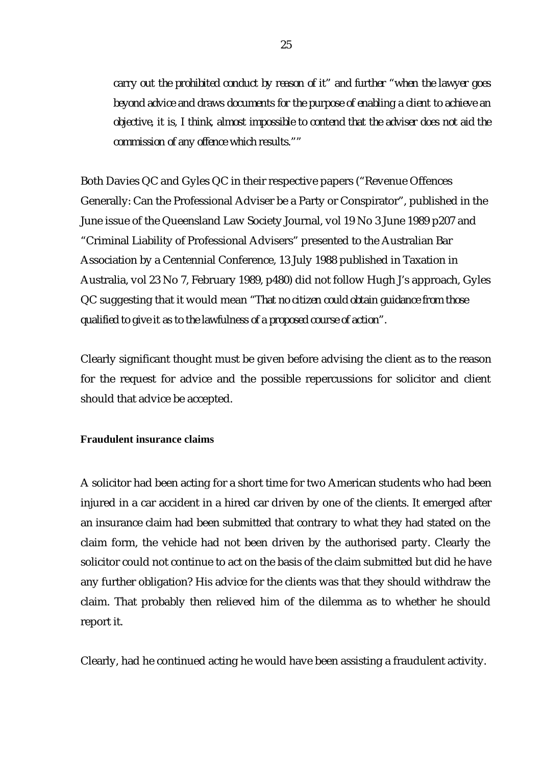*carry out the prohibited conduct by reason of it" and further "when the lawyer goes beyond advice and draws documents for the purpose of enabling a client to achieve an objective, it is, I think, almost impossible to contend that the adviser does not aid the commission of any offence which results.""*

Both Davies QC and Gyles QC in their respective papers ("Revenue Offences Generally: Can the Professional Adviser be a Party or Conspirator", published in the June issue of the Queensland Law Society Journal, vol 19 No 3 June 1989 p207 and "Criminal Liability of Professional Advisers" presented to the Australian Bar Association by a Centennial Conference, 13 July 1988 published in Taxation in Australia, vol 23 No 7, February 1989, p480) did not follow Hugh J's approach, Gyles QC suggesting that it would mean *"That no citizen could obtain guidance from those qualified to give it as to the lawfulness of a proposed course of action".*

Clearly significant thought must be given before advising the client as to the reason for the request for advice and the possible repercussions for solicitor and client should that advice be accepted.

**Fraudulent insurance claims**

A solicitor had been acting for a short time for two American students who had been injured in a car accident in a hired car driven by one of the clients. It emerged after an insurance claim had been submitted that contrary to what they had stated on the claim form, the vehicle had not been driven by the authorised party. Clearly the solicitor could not continue to act on the basis of the claim submitted but did he have any further obligation? His advice for the clients was that they should withdraw the claim. That probably then relieved him of the dilemma as to whether he should report it.

Clearly, had he continued acting he would have been assisting a fraudulent activity.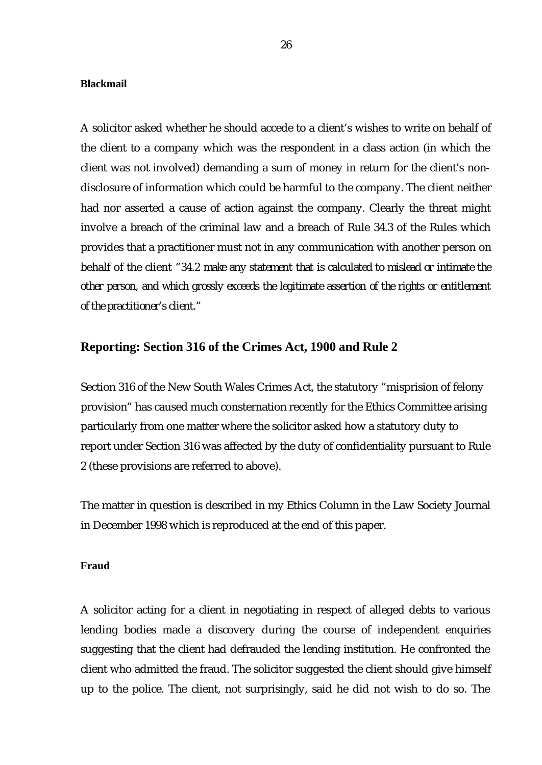#### **Blackmail**

A solicitor asked whether he should accede to a client's wishes to write on behalf of the client to a company which was the respondent in a class action (in which the client was not involved) demanding a sum of money in return for the client's nondisclosure of information which could be harmful to the company. The client neither had nor asserted a cause of action against the company. Clearly the threat might involve a breach of the criminal law and a breach of Rule 34.3 of the Rules which provides that a practitioner must not in any communication with another person on behalf of the client *"34.2 make any statement that is calculated to mislead or intimate the other person, and which grossly exceeds the legitimate assertion of the rights or entitlement of the practitioner's client."*

#### **Reporting: Section 316 of the Crimes Act, 1900 and Rule 2**

Section 316 of the New South Wales Crimes Act, the statutory "misprision of felony provision" has caused much consternation recently for the Ethics Committee arising particularly from one matter where the solicitor asked how a statutory duty to report under Section 316 was affected by the duty of confidentiality pursuant to Rule 2 (these provisions are referred to above).

The matter in question is described in my Ethics Column in the Law Society Journal in December 1998 which is reproduced at the end of this paper.

#### **Fraud**

A solicitor acting for a client in negotiating in respect of alleged debts to various lending bodies made a discovery during the course of independent enquiries suggesting that the client had defrauded the lending institution. He confronted the client who admitted the fraud. The solicitor suggested the client should give himself up to the police. The client, not surprisingly, said he did not wish to do so. The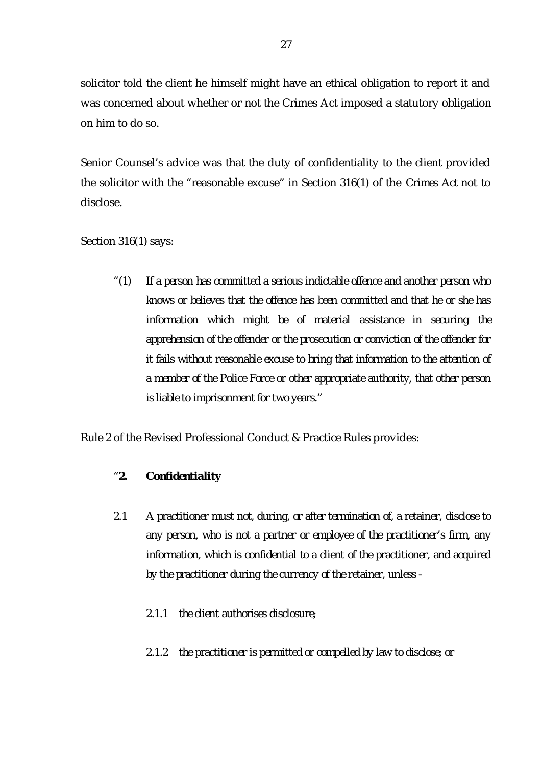solicitor told the client he himself might have an ethical obligation to report it and was concerned about whether or not the Crimes Act imposed a statutory obligation on him to do so.

Senior Counsel's advice was that the duty of confidentiality to the client provided the solicitor with the "reasonable excuse" in Section 316(1) of the *Crimes Act* not to disclose.

Section 316(1) says:

*"(1) If a person has committed a serious indictable offence and another person who knows or believes that the offence has been committed and that he or she has information which might be of material assistance in securing the apprehension of the offender or the prosecution or conviction of the offender for it fails without reasonable excuse to bring that information to the attention of a member of the Police Force or other appropriate authority, that other person is liable to imprisonment for two years."*

Rule 2 of the Revised Professional Conduct & Practice Rules provides:

### *"2. Confidentiality*

- *2.1 A practitioner must not, during, or after termination of, a retainer, disclose to any person, who is not a partner or employee of the practitioner's firm, any information, which is confidential to a client of the practitioner, and acquired by the practitioner during the currency of the retainer, unless -*
	- *2.1.1 the client authorises disclosure;*
	- *2.1.2 the practitioner is permitted or compelled by law to disclose; or*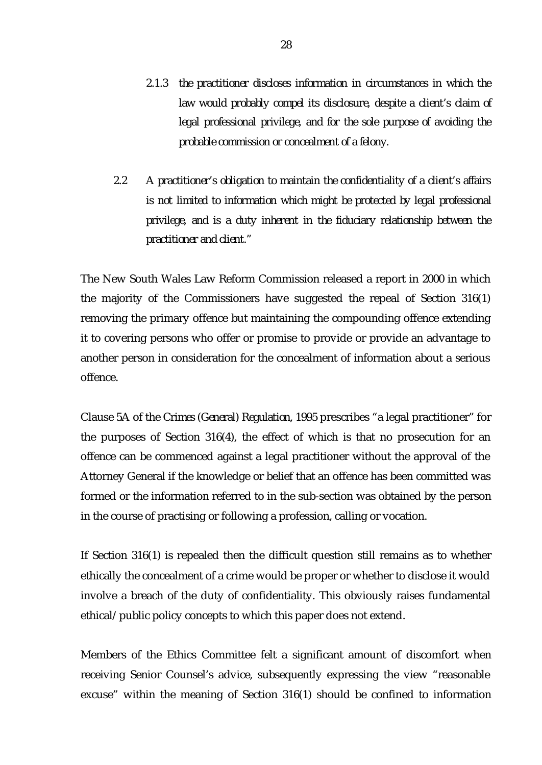- *2.1.3 the practitioner discloses information in circumstances in which the law would probably compel its disclosure, despite a client's claim of legal professional privilege, and for the sole purpose of avoiding the probable commission or concealment of a felony.*
- *2.2 A practitioner's obligation to maintain the confidentiality of a client's affairs is not limited to information which might be protected by legal professional privilege, and is a duty inherent in the fiduciary relationship between the practitioner and client."*

The New South Wales Law Reform Commission released a report in 2000 in which the majority of the Commissioners have suggested the repeal of Section 316(1) removing the primary offence but maintaining the compounding offence extending it to covering persons who offer or promise to provide or provide an advantage to another person in consideration for the concealment of information about a serious offence.

Clause 5A of the *Crimes (General) Regulation, 1995* prescribes "a legal practitioner" for the purposes of Section 316(4), the effect of which is that no prosecution for an offence can be commenced against a legal practitioner without the approval of the Attorney General if the knowledge or belief that an offence has been committed was formed or the information referred to in the sub-section was obtained by the person in the course of practising or following a profession, calling or vocation.

If Section 316(1) is repealed then the difficult question still remains as to whether ethically the concealment of a crime would be proper or whether to disclose it would involve a breach of the duty of confidentiality. This obviously raises fundamental ethical/public policy concepts to which this paper does not extend.

Members of the Ethics Committee felt a significant amount of discomfort when receiving Senior Counsel's advice, subsequently expressing the view "reasonable excuse" within the meaning of Section 316(1) should be confined to information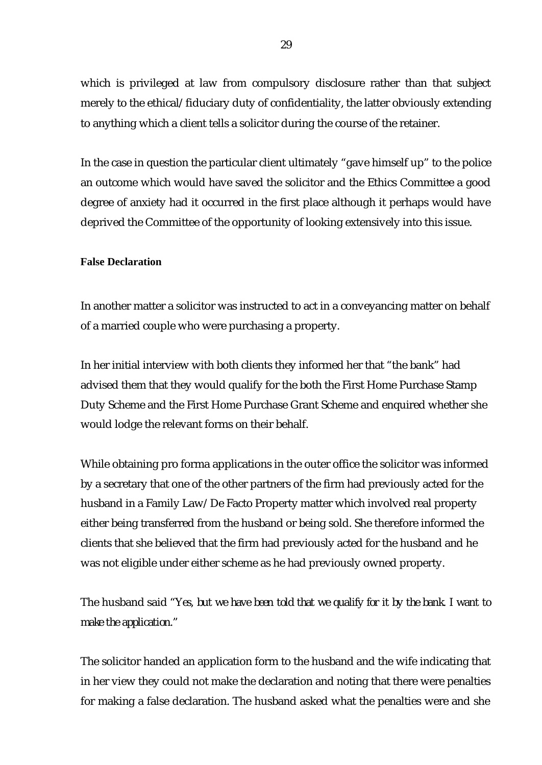which is privileged at law from compulsory disclosure rather than that subject merely to the ethical/fiduciary duty of confidentiality, the latter obviously extending to anything which a client tells a solicitor during the course of the retainer.

In the case in question the particular client ultimately "gave himself up" to the police an outcome which would have saved the solicitor and the Ethics Committee a good degree of anxiety had it occurred in the first place although it perhaps would have deprived the Committee of the opportunity of looking extensively into this issue.

#### **False Declaration**

In another matter a solicitor was instructed to act in a conveyancing matter on behalf of a married couple who were purchasing a property.

In her initial interview with both clients they informed her that "the bank" had advised them that they would qualify for the both the First Home Purchase Stamp Duty Scheme and the First Home Purchase Grant Scheme and enquired whether she would lodge the relevant forms on their behalf.

While obtaining pro forma applications in the outer office the solicitor was informed by a secretary that one of the other partners of the firm had previously acted for the husband in a Family Law/De Facto Property matter which involved real property either being transferred from the husband or being sold. She therefore informed the clients that she believed that the firm had previously acted for the husband and he was not eligible under either scheme as he had previously owned property.

The husband said *"Yes, but we have been told that we qualify for it by the bank. I want to make the application."*

The solicitor handed an application form to the husband and the wife indicating that in her view they could not make the declaration and noting that there were penalties for making a false declaration. The husband asked what the penalties were and she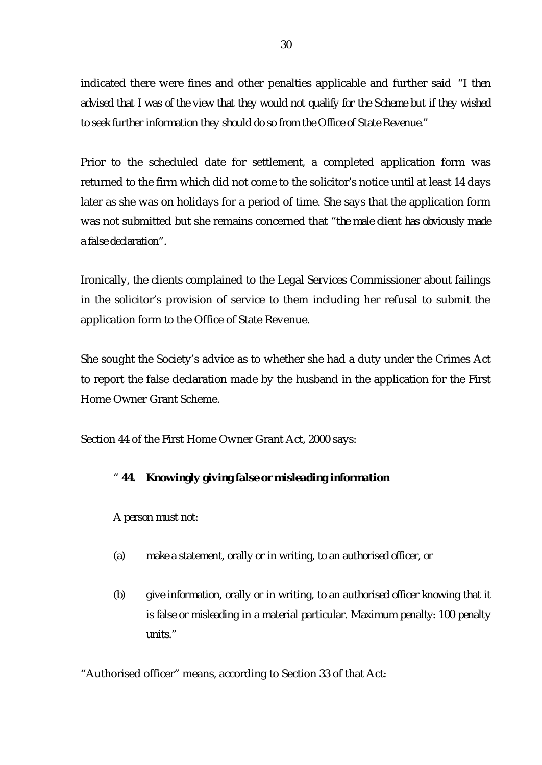indicated there were fines and other penalties applicable and further said *"I then advised that I was of the view that they would not qualify for the Scheme but if they wished to seek further information they should do so from the Office of State Revenue."*

Prior to the scheduled date for settlement, a completed application form was returned to the firm which did not come to the solicitor's notice until at least 14 days later as she was on holidays for a period of time. She says that the application form was not submitted but she remains concerned that *"the male client has obviously made a false declaration".*

Ironically, the clients complained to the Legal Services Commissioner about failings in the solicitor's provision of service to them including her refusal to submit the application form to the Office of State Revenue.

She sought the Society's advice as to whether she had a duty under the Crimes Act to report the false declaration made by the husband in the application for the First Home Owner Grant Scheme.

Section 44 of the First Home Owner Grant Act, 2000 says:

### *" 44. Knowingly giving false or misleading information*

*A person must not:*

- *(a) make a statement, orally or in writing, to an authorised officer, or*
- *(b) give information, orally or in writing, to an authorised officer knowing that it is false or misleading in a material particular. Maximum penalty: 100 penalty units."*

"Authorised officer" means, according to Section 33 of that Act: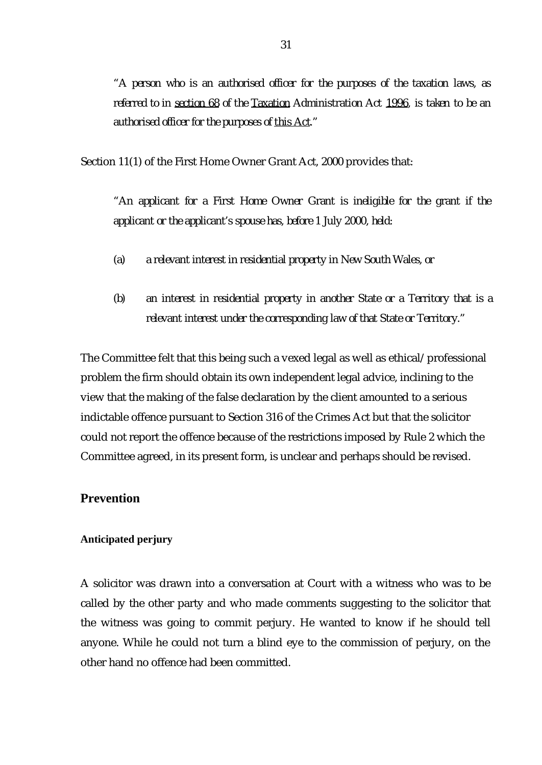*"A person who is an authorised officer for the purposes of the taxation laws, as referred to in section 68 of the Taxation Administration Act 1996, is taken to be an authorised officer for the purposes of this Act."*

Section 11(1) of the First Home Owner Grant Act, 2000 provides that:

*"An applicant for a First Home Owner Grant is ineligible for the grant if the applicant or the applicant's spouse has, before 1 July 2000, held:*

- *(a) a relevant interest in residential property in New South Wales, or*
- *(b) an interest in residential property in another State or a Territory that is a relevant interest under the corresponding law of that State or Territory."*

The Committee felt that this being such a vexed legal as well as ethical/professional problem the firm should obtain its own independent legal advice, inclining to the view that the making of the false declaration by the client amounted to a serious indictable offence pursuant to Section 316 of the Crimes Act but that the solicitor could not report the offence because of the restrictions imposed by Rule 2 which the Committee agreed, in its present form, is unclear and perhaps should be revised.

### **Prevention**

#### **Anticipated perjury**

A solicitor was drawn into a conversation at Court with a witness who was to be called by the other party and who made comments suggesting to the solicitor that the witness was going to commit perjury. He wanted to know if he should tell anyone. While he could not turn a blind eye to the commission of perjury, on the other hand no offence had been committed.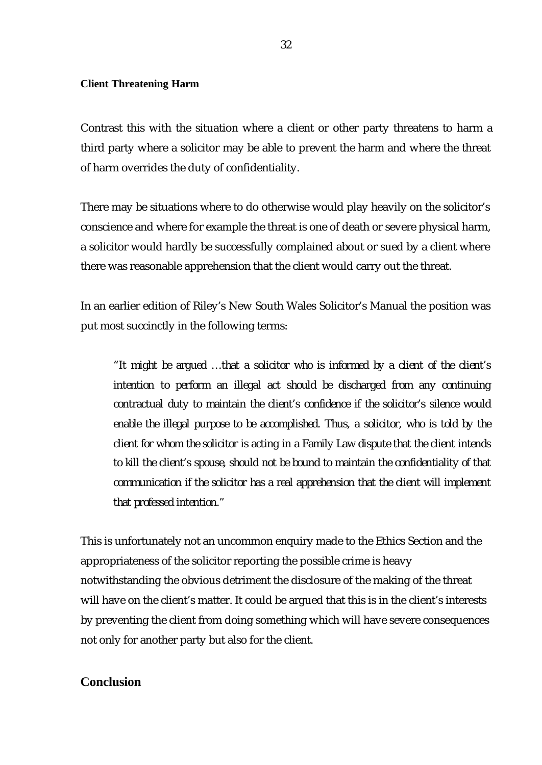#### **Client Threatening Harm**

Contrast this with the situation where a client or other party threatens to harm a third party where a solicitor may be able to prevent the harm and where the threat of harm overrides the duty of confidentiality.

There may be situations where to do otherwise would play heavily on the solicitor's conscience and where for example the threat is one of death or severe physical harm, a solicitor would hardly be successfully complained about or sued by a client where there was reasonable apprehension that the client would carry out the threat.

In an earlier edition of Riley's New South Wales Solicitor's Manual the position was put most succinctly in the following terms:

*"It might be argued … that a solicitor who is informed by a client of the client's intention to perform an illegal act should be discharged from any continuing contractual duty to maintain the client's confidence if the solicitor's silence would enable the illegal purpose to be accomplished. Thus, a solicitor, who is told by the client for whom the solicitor is acting in a Family Law dispute that the client intends to kill the client's spouse, should not be bound to maintain the confidentiality of that communication if the solicitor has a real apprehension that the client will implement that professed intention."*

This is unfortunately not an uncommon enquiry made to the Ethics Section and the appropriateness of the solicitor reporting the possible crime is heavy notwithstanding the obvious detriment the disclosure of the making of the threat will have on the client's matter. It could be argued that this is in the client's interests by preventing the client from doing something which will have severe consequences not only for another party but also for the client.

### **Conclusion**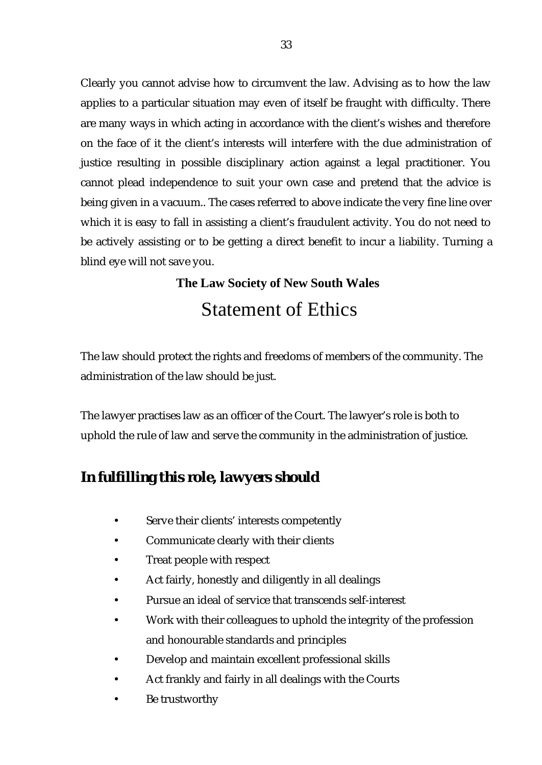Clearly you cannot advise how to circumvent the law. Advising as to how the law applies to a particular situation may even of itself be fraught with difficulty. There are many ways in which acting in accordance with the client's wishes and therefore on the face of it the client's interests will interfere with the due administration of justice resulting in possible disciplinary action against a legal practitioner. You cannot plead independence to suit your own case and pretend that the advice is being given in a vacuum.. The cases referred to above indicate the very fine line over which it is easy to fall in assisting a client's fraudulent activity. You do not need to be actively assisting or to be getting a direct benefit to incur a liability. Turning a blind eye will not save you.

# **The Law Society of New South Wales** Statement of Ethics

The law should protect the rights and freedoms of members of the community. The administration of the law should be just.

The lawyer practises law as an officer of the Court. The lawyer's role is both to uphold the rule of law and serve the community in the administration of justice.

# *In fulfilling this role, lawyers should*

- Serve their clients' interests competently
- Communicate clearly with their clients
- Treat people with respect
- Act fairly, honestly and diligently in all dealings
- Pursue an ideal of service that transcends self-interest
- Work with their colleagues to uphold the integrity of the profession and honourable standards and principles
- Develop and maintain excellent professional skills
- Act frankly and fairly in all dealings with the Courts
- Be trustworthy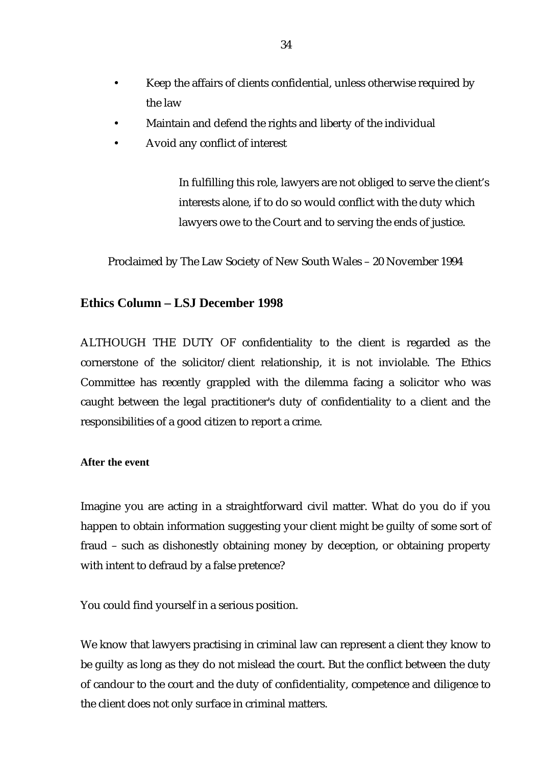- Keep the affairs of clients confidential, unless otherwise required by the law
- Maintain and defend the rights and liberty of the individual
- Avoid any conflict of interest

In fulfilling this role, lawyers are not obliged to serve the client's interests alone, if to do so would conflict with the duty which lawyers owe to the Court and to serving the ends of justice.

Proclaimed by The Law Society of New South Wales – 20 November 1994

# **Ethics Column – LSJ December 1998**

ALTHOUGH THE DUTY OF confidentiality to the client is regarded as the cornerstone of the solicitor/client relationship, it is not inviolable. The Ethics Committee has recently grappled with the dilemma facing a solicitor who was caught between the legal practitioner's duty of confidentiality to a client and the responsibilities of a good citizen to report a crime.

**After the event**

Imagine you are acting in a straightforward civil matter. What do you do if you happen to obtain information suggesting your client might be guilty of some sort of fraud – such as dishonestly obtaining money by deception, or obtaining property with intent to defraud by a false pretence?

You could find yourself in a serious position.

We know that lawyers practising in criminal law can represent a client they know to be guilty as long as they do not mislead the court. But the conflict between the duty of candour to the court and the duty of confidentiality, competence and diligence to the client does not only surface in criminal matters.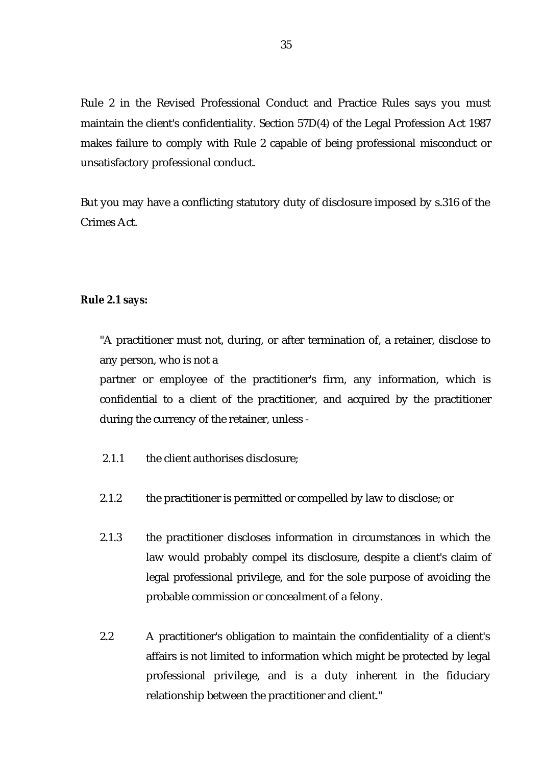Rule 2 in the Revised Professional Conduct and Practice Rules says you must maintain the client's confidentiality. Section 57D(4) of the Legal Profession Act 1987 makes failure to comply with Rule 2 capable of being professional misconduct or unsatisfactory professional conduct.

But you may have a conflicting statutory duty of disclosure imposed by s.316 of the Crimes Act.

#### **Rule 2.1 says:**

"A practitioner must not, during, or after termination of, a retainer, disclose to any person, who is not a

partner or employee of the practitioner's firm, any information, which is confidential to a client of the practitioner, and acquired by the practitioner during the currency of the retainer, unless -

- 2.1.1 the client authorises disclosure:
- 2.1.2 the practitioner is permitted or compelled by law to disclose; or
- 2.1.3 the practitioner discloses information in circumstances in which the law would probably compel its disclosure, despite a client's claim of legal professional privilege, and for the sole purpose of avoiding the probable commission or concealment of a felony.
- 2.2 A practitioner's obligation to maintain the confidentiality of a client's affairs is not limited to information which might be protected by legal professional privilege, and is a duty inherent in the fiduciary relationship between the practitioner and client."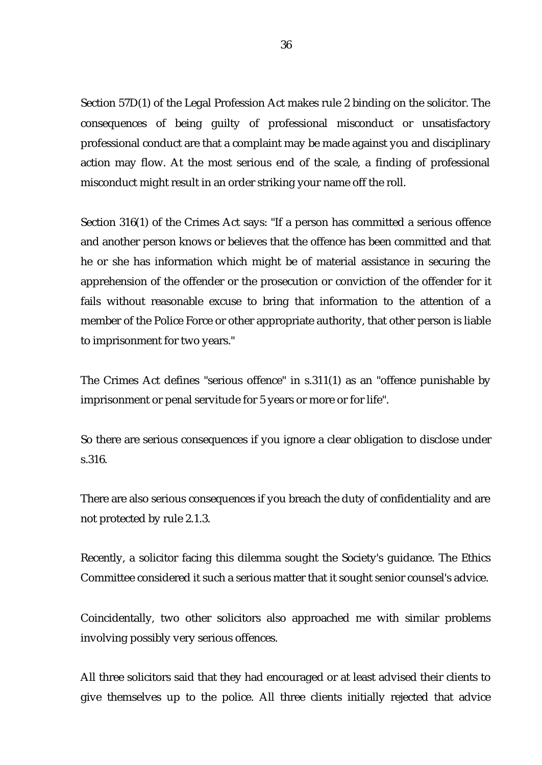Section 57D(1) of the Legal Profession Act makes rule 2 binding on the solicitor. The consequences of being guilty of professional misconduct or unsatisfactory professional conduct are that a complaint may be made against you and disciplinary action may flow. At the most serious end of the scale, a finding of professional misconduct might result in an order striking your name off the roll.

Section 316(1) of the Crimes Act says: "If a person has committed a serious offence and another person knows or believes that the offence has been committed and that he or she has information which might be of material assistance in securing the apprehension of the offender or the prosecution or conviction of the offender for it fails without reasonable excuse to bring that information to the attention of a member of the Police Force or other appropriate authority, that other person is liable to imprisonment for two years."

The Crimes Act defines "serious offence" in s.311(1) as an "offence punishable by imprisonment or penal servitude for 5 years or more or for life".

So there are serious consequences if you ignore a clear obligation to disclose under s.316.

There are also serious consequences if you breach the duty of confidentiality and are not protected by rule 2.1.3.

Recently, a solicitor facing this dilemma sought the Society's guidance. The Ethics Committee considered it such a serious matter that it sought senior counsel's advice.

Coincidentally, two other solicitors also approached me with similar problems involving possibly very serious offences.

All three solicitors said that they had encouraged or at least advised their clients to give themselves up to the police. All three clients initially rejected that advice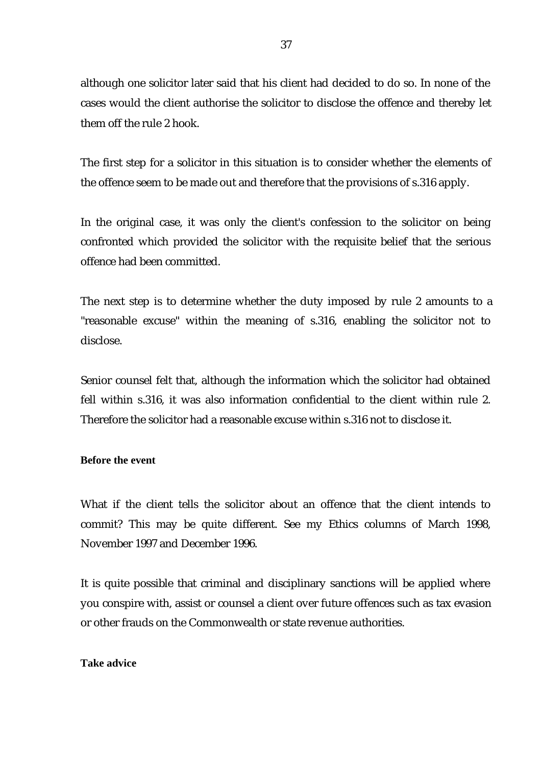although one solicitor later said that his client had decided to do so. In none of the cases would the client authorise the solicitor to disclose the offence and thereby let them off the rule 2 hook.

The first step for a solicitor in this situation is to consider whether the elements of the offence seem to be made out and therefore that the provisions of s.316 apply.

In the original case, it was only the client's confession to the solicitor on being confronted which provided the solicitor with the requisite belief that the serious offence had been committed.

The next step is to determine whether the duty imposed by rule 2 amounts to a "reasonable excuse" within the meaning of s.316, enabling the solicitor not to disclose.

Senior counsel felt that, although the information which the solicitor had obtained fell within s.316, it was also information confidential to the client within rule 2. Therefore the solicitor had a reasonable excuse within s.316 not to disclose it.

#### **Before the event**

What if the client tells the solicitor about an offence that the client intends to commit? This may be quite different. See my Ethics columns of March 1998, November 1997 and December 1996.

It is quite possible that criminal and disciplinary sanctions will be applied where you conspire with, assist or counsel a client over future offences such as tax evasion or other frauds on the Commonwealth or state revenue authorities.

#### **Take advice**